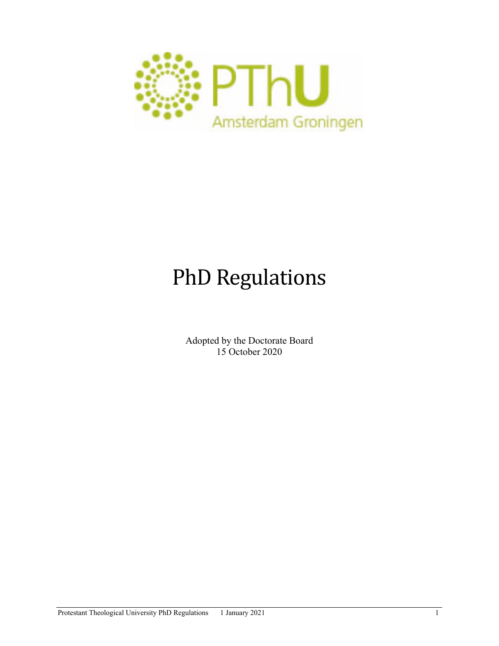

# PhD Regulations

Adopted by the Doctorate Board 15 October 2020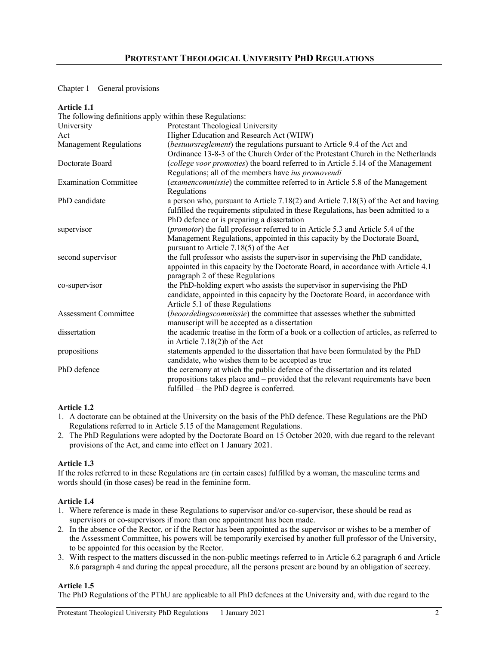# Chapter 1 – General provisions

| <b>Article 1.1</b>                                        |                                                                                                                                                                                                                             |
|-----------------------------------------------------------|-----------------------------------------------------------------------------------------------------------------------------------------------------------------------------------------------------------------------------|
| The following definitions apply within these Regulations: |                                                                                                                                                                                                                             |
| University                                                | Protestant Theological University                                                                                                                                                                                           |
| Act                                                       | Higher Education and Research Act (WHW)                                                                                                                                                                                     |
| <b>Management Regulations</b>                             | (bestuursreglement) the regulations pursuant to Article 9.4 of the Act and<br>Ordinance 13-8-3 of the Church Order of the Protestant Church in the Netherlands                                                              |
| Doctorate Board                                           | (college voor promoties) the board referred to in Article 5.14 of the Management<br>Regulations; all of the members have ius promovendi                                                                                     |
| <b>Examination Committee</b>                              | (examencommissie) the committee referred to in Article 5.8 of the Management<br>Regulations                                                                                                                                 |
| PhD candidate                                             | a person who, pursuant to Article $7.18(2)$ and Article $7.18(3)$ of the Act and having<br>fulfilled the requirements stipulated in these Regulations, has been admitted to a<br>PhD defence or is preparing a dissertation |
| supervisor                                                | (promotor) the full professor referred to in Article 5.3 and Article 5.4 of the<br>Management Regulations, appointed in this capacity by the Doctorate Board,<br>pursuant to Article 7.18(5) of the Act                     |
| second supervisor                                         | the full professor who assists the supervisor in supervising the PhD candidate,<br>appointed in this capacity by the Doctorate Board, in accordance with Article 4.1<br>paragraph 2 of these Regulations                    |
| co-supervisor                                             | the PhD-holding expert who assists the supervisor in supervising the PhD<br>candidate, appointed in this capacity by the Doctorate Board, in accordance with<br>Article 5.1 of these Regulations                            |
| <b>Assessment Committee</b>                               | (beoordelingscommissie) the committee that assesses whether the submitted<br>manuscript will be accepted as a dissertation                                                                                                  |
| dissertation                                              | the academic treatise in the form of a book or a collection of articles, as referred to<br>in Article $7.18(2)$ b of the Act                                                                                                |
| propositions                                              | statements appended to the dissertation that have been formulated by the PhD<br>candidate, who wishes them to be accepted as true                                                                                           |
| PhD defence                                               | the ceremony at which the public defence of the dissertation and its related<br>propositions takes place and – provided that the relevant requirements have been<br>fulfilled – the PhD degree is conferred.                |

## **Article 1.2**

- 1. A doctorate can be obtained at the University on the basis of the PhD defence. These Regulations are the PhD Regulations referred to in Article 5.15 of the Management Regulations.
- 2. The PhD Regulations were adopted by the Doctorate Board on 15 October 2020, with due regard to the relevant provisions of the Act, and came into effect on 1 January 2021.

# **Article 1.3**

If the roles referred to in these Regulations are (in certain cases) fulfilled by a woman, the masculine terms and words should (in those cases) be read in the feminine form.

# **Article 1.4**

- 1. Where reference is made in these Regulations to supervisor and/or co-supervisor, these should be read as supervisors or co-supervisors if more than one appointment has been made.
- 2. In the absence of the Rector, or if the Rector has been appointed as the supervisor or wishes to be a member of the Assessment Committee, his powers will be temporarily exercised by another full professor of the University, to be appointed for this occasion by the Rector.
- 3. With respect to the matters discussed in the non-public meetings referred to in Article 6.2 paragraph 6 and Article 8.6 paragraph 4 and during the appeal procedure, all the persons present are bound by an obligation of secrecy.

# **Article 1.5**

The PhD Regulations of the PThU are applicable to all PhD defences at the University and, with due regard to the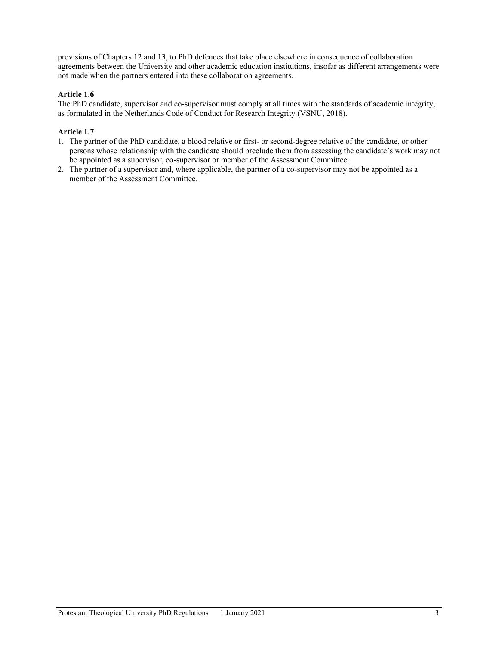provisions of Chapters 12 and 13, to PhD defences that take place elsewhere in consequence of collaboration agreements between the University and other academic education institutions, insofar as different arrangements were not made when the partners entered into these collaboration agreements.

# **Article 1.6**

The PhD candidate, supervisor and co-supervisor must comply at all times with the standards of academic integrity, as formulated in the Netherlands Code of Conduct for Research Integrity (VSNU, 2018).

# **Article 1.7**

- 1. The partner of the PhD candidate, a blood relative or first- or second-degree relative of the candidate, or other persons whose relationship with the candidate should preclude them from assessing the candidate's work may not be appointed as a supervisor, co-supervisor or member of the Assessment Committee.
- 2. The partner of a supervisor and, where applicable, the partner of a co-supervisor may not be appointed as a member of the Assessment Committee.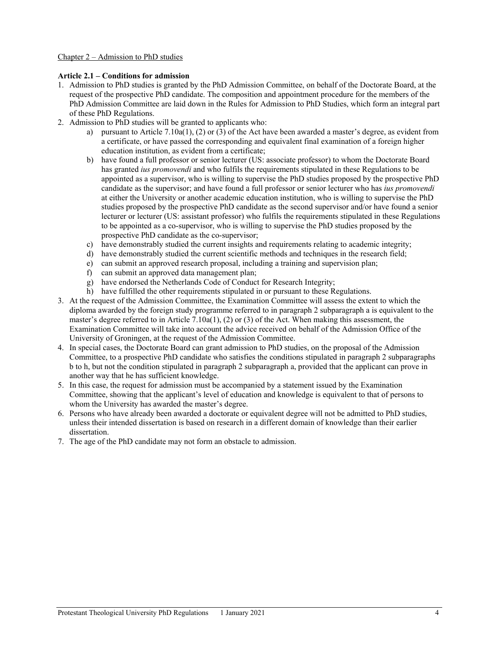## Chapter 2 – Admission to PhD studies

#### **Article 2.1 – Conditions for admission**

- 1. Admission to PhD studies is granted by the PhD Admission Committee, on behalf of the Doctorate Board, at the request of the prospective PhD candidate. The composition and appointment procedure for the members of the PhD Admission Committee are laid down in the Rules for Admission to PhD Studies, which form an integral part of these PhD Regulations.
- 2. Admission to PhD studies will be granted to applicants who:
	- a) pursuant to Article 7.10a(1), (2) or (3) of the Act have been awarded a master's degree, as evident from a certificate, or have passed the corresponding and equivalent final examination of a foreign higher education institution, as evident from a certificate;
	- b) have found a full professor or senior lecturer (US: associate professor) to whom the Doctorate Board has granted *ius promovendi* and who fulfils the requirements stipulated in these Regulations to be appointed as a supervisor, who is willing to supervise the PhD studies proposed by the prospective PhD candidate as the supervisor; and have found a full professor or senior lecturer who has *ius promovendi* at either the University or another academic education institution, who is willing to supervise the PhD studies proposed by the prospective PhD candidate as the second supervisor and/or have found a senior lecturer or lecturer (US: assistant professor) who fulfils the requirements stipulated in these Regulations to be appointed as a co-supervisor, who is willing to supervise the PhD studies proposed by the prospective PhD candidate as the co-supervisor;
	- c) have demonstrably studied the current insights and requirements relating to academic integrity;
	- d) have demonstrably studied the current scientific methods and techniques in the research field;
	- e) can submit an approved research proposal, including a training and supervision plan;
	- f) can submit an approved data management plan;
	- g) have endorsed the Netherlands Code of Conduct for Research Integrity;
	- h) have fulfilled the other requirements stipulated in or pursuant to these Regulations.
- 3. At the request of the Admission Committee, the Examination Committee will assess the extent to which the diploma awarded by the foreign study programme referred to in paragraph 2 subparagraph a is equivalent to the master's degree referred to in Article 7.10a(1), (2) or (3) of the Act. When making this assessment, the Examination Committee will take into account the advice received on behalf of the Admission Office of the University of Groningen, at the request of the Admission Committee.
- 4. In special cases, the Doctorate Board can grant admission to PhD studies, on the proposal of the Admission Committee, to a prospective PhD candidate who satisfies the conditions stipulated in paragraph 2 subparagraphs b to h, but not the condition stipulated in paragraph 2 subparagraph a, provided that the applicant can prove in another way that he has sufficient knowledge.
- 5. In this case, the request for admission must be accompanied by a statement issued by the Examination Committee, showing that the applicant's level of education and knowledge is equivalent to that of persons to whom the University has awarded the master's degree.
- 6. Persons who have already been awarded a doctorate or equivalent degree will not be admitted to PhD studies, unless their intended dissertation is based on research in a different domain of knowledge than their earlier dissertation.
- 7. The age of the PhD candidate may not form an obstacle to admission.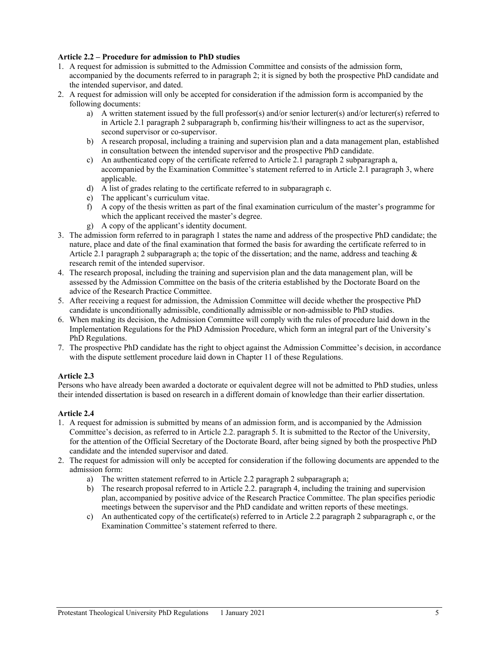#### **Article 2.2 – Procedure for admission to PhD studies**

- 1. A request for admission is submitted to the Admission Committee and consists of the admission form, accompanied by the documents referred to in paragraph 2; it is signed by both the prospective PhD candidate and the intended supervisor, and dated.
- 2. A request for admission will only be accepted for consideration if the admission form is accompanied by the following documents:
	- a) A written statement issued by the full professor(s) and/or senior lecturer(s) and/or lecturer(s) referred to in Article 2.1 paragraph 2 subparagraph b, confirming his/their willingness to act as the supervisor, second supervisor or co-supervisor.
	- b) A research proposal, including a training and supervision plan and a data management plan, established in consultation between the intended supervisor and the prospective PhD candidate.
	- c) An authenticated copy of the certificate referred to Article 2.1 paragraph 2 subparagraph a, accompanied by the Examination Committee's statement referred to in Article 2.1 paragraph 3, where applicable.
	- d) A list of grades relating to the certificate referred to in subparagraph c.
	- e) The applicant's curriculum vitae.
	- f) A copy of the thesis written as part of the final examination curriculum of the master's programme for which the applicant received the master's degree.
	- g) A copy of the applicant's identity document.
- 3. The admission form referred to in paragraph 1 states the name and address of the prospective PhD candidate; the nature, place and date of the final examination that formed the basis for awarding the certificate referred to in Article 2.1 paragraph 2 subparagraph a; the topic of the dissertation; and the name, address and teaching  $\&$ research remit of the intended supervisor.
- 4. The research proposal, including the training and supervision plan and the data management plan, will be assessed by the Admission Committee on the basis of the criteria established by the Doctorate Board on the advice of the Research Practice Committee.
- 5. After receiving a request for admission, the Admission Committee will decide whether the prospective PhD candidate is unconditionally admissible, conditionally admissible or non-admissible to PhD studies.
- 6. When making its decision, the Admission Committee will comply with the rules of procedure laid down in the Implementation Regulations for the PhD Admission Procedure, which form an integral part of the University's PhD Regulations.
- 7. The prospective PhD candidate has the right to object against the Admission Committee's decision, in accordance with the dispute settlement procedure laid down in Chapter 11 of these Regulations.

## **Article 2.3**

Persons who have already been awarded a doctorate or equivalent degree will not be admitted to PhD studies, unless their intended dissertation is based on research in a different domain of knowledge than their earlier dissertation.

## **Article 2.4**

- 1. A request for admission is submitted by means of an admission form, and is accompanied by the Admission Committee's decision, as referred to in Article 2.2. paragraph 5. It is submitted to the Rector of the University, for the attention of the Official Secretary of the Doctorate Board, after being signed by both the prospective PhD candidate and the intended supervisor and dated.
- 2. The request for admission will only be accepted for consideration if the following documents are appended to the admission form:
	- a) The written statement referred to in Article 2.2 paragraph 2 subparagraph a;
	- b) The research proposal referred to in Article 2.2. paragraph 4, including the training and supervision plan, accompanied by positive advice of the Research Practice Committee. The plan specifies periodic meetings between the supervisor and the PhD candidate and written reports of these meetings.
	- c) An authenticated copy of the certificate(s) referred to in Article 2.2 paragraph 2 subparagraph c, or the Examination Committee's statement referred to there.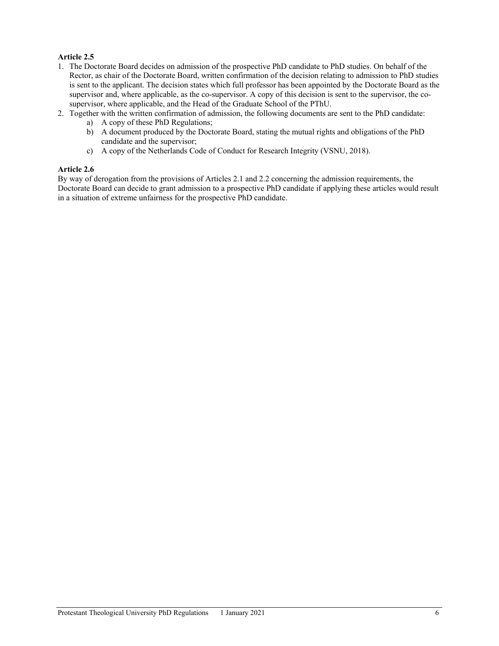# **Article 2.5**

- 1. The Doctorate Board decides on admission of the prospective PhD candidate to PhD studies. On behalf of the Rector, as chair of the Doctorate Board, written confirmation of the decision relating to admission to PhD studies is sent to the applicant. The decision states which full professor has been appointed by the Doctorate Board as the supervisor and, where applicable, as the co-supervisor. A copy of this decision is sent to the supervisor, the cosupervisor, where applicable, and the Head of the Graduate School of the PThU.
- 2. Together with the written confirmation of admission, the following documents are sent to the PhD candidate:
	- a) A copy of these PhD Regulations;
	- b) A document produced by the Doctorate Board, stating the mutual rights and obligations of the PhD candidate and the supervisor;
	- c) A copy of the Netherlands Code of Conduct for Research Integrity (VSNU, 2018).

#### **Article 2.6**

By way of derogation from the provisions of Articles 2.1 and 2.2 concerning the admission requirements, the Doctorate Board can decide to grant admission to a prospective PhD candidate if applying these articles would result in a situation of extreme unfairness for the prospective PhD candidate.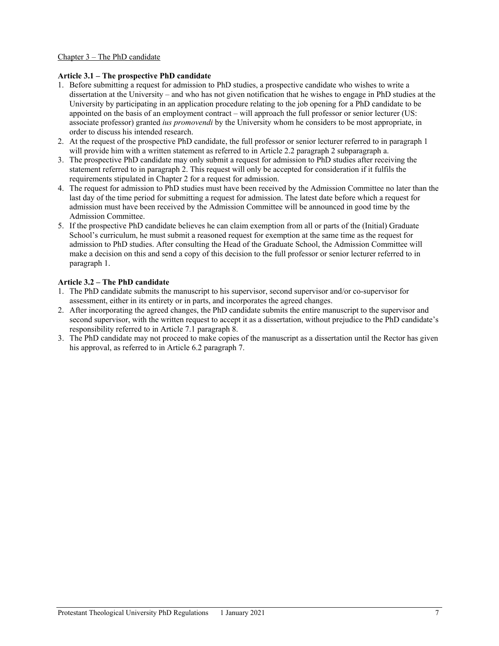## Chapter 3 – The PhD candidate

#### **Article 3.1 – The prospective PhD candidate**

- 1. Before submitting a request for admission to PhD studies, a prospective candidate who wishes to write a dissertation at the University – and who has not given notification that he wishes to engage in PhD studies at the University by participating in an application procedure relating to the job opening for a PhD candidate to be appointed on the basis of an employment contract – will approach the full professor or senior lecturer (US: associate professor) granted *ius promovendi* by the University whom he considers to be most appropriate, in order to discuss his intended research.
- 2. At the request of the prospective PhD candidate, the full professor or senior lecturer referred to in paragraph 1 will provide him with a written statement as referred to in Article 2.2 paragraph 2 subparagraph a.
- 3. The prospective PhD candidate may only submit a request for admission to PhD studies after receiving the statement referred to in paragraph 2. This request will only be accepted for consideration if it fulfils the requirements stipulated in Chapter 2 for a request for admission.
- 4. The request for admission to PhD studies must have been received by the Admission Committee no later than the last day of the time period for submitting a request for admission. The latest date before which a request for admission must have been received by the Admission Committee will be announced in good time by the Admission Committee.
- 5. If the prospective PhD candidate believes he can claim exemption from all or parts of the (Initial) Graduate School's curriculum, he must submit a reasoned request for exemption at the same time as the request for admission to PhD studies. After consulting the Head of the Graduate School, the Admission Committee will make a decision on this and send a copy of this decision to the full professor or senior lecturer referred to in paragraph 1.

## **Article 3.2 – The PhD candidate**

- 1. The PhD candidate submits the manuscript to his supervisor, second supervisor and/or co-supervisor for assessment, either in its entirety or in parts, and incorporates the agreed changes.
- 2. After incorporating the agreed changes, the PhD candidate submits the entire manuscript to the supervisor and second supervisor, with the written request to accept it as a dissertation, without prejudice to the PhD candidate's responsibility referred to in Article 7.1 paragraph 8.
- 3. The PhD candidate may not proceed to make copies of the manuscript as a dissertation until the Rector has given his approval, as referred to in Article 6.2 paragraph 7.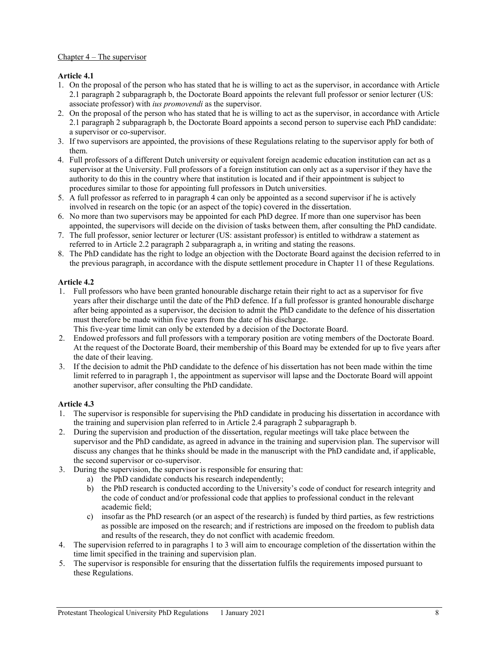# Chapter  $4$  – The supervisor

# **Article 4.1**

- 1. On the proposal of the person who has stated that he is willing to act as the supervisor, in accordance with Article 2.1 paragraph 2 subparagraph b, the Doctorate Board appoints the relevant full professor or senior lecturer (US: associate professor) with *ius promovendi* as the supervisor.
- 2. On the proposal of the person who has stated that he is willing to act as the supervisor, in accordance with Article 2.1 paragraph 2 subparagraph b, the Doctorate Board appoints a second person to supervise each PhD candidate: a supervisor or co-supervisor.
- 3. If two supervisors are appointed, the provisions of these Regulations relating to the supervisor apply for both of them.
- 4. Full professors of a different Dutch university or equivalent foreign academic education institution can act as a supervisor at the University. Full professors of a foreign institution can only act as a supervisor if they have the authority to do this in the country where that institution is located and if their appointment is subject to procedures similar to those for appointing full professors in Dutch universities.
- 5. A full professor as referred to in paragraph 4 can only be appointed as a second supervisor if he is actively involved in research on the topic (or an aspect of the topic) covered in the dissertation.
- 6. No more than two supervisors may be appointed for each PhD degree. If more than one supervisor has been appointed, the supervisors will decide on the division of tasks between them, after consulting the PhD candidate.
- 7. The full professor, senior lecturer or lecturer (US: assistant professor) is entitled to withdraw a statement as referred to in Article 2.2 paragraph 2 subparagraph a, in writing and stating the reasons.
- 8. The PhD candidate has the right to lodge an objection with the Doctorate Board against the decision referred to in the previous paragraph, in accordance with the dispute settlement procedure in Chapter 11 of these Regulations.

## **Article 4.2**

- 1. Full professors who have been granted honourable discharge retain their right to act as a supervisor for five years after their discharge until the date of the PhD defence. If a full professor is granted honourable discharge after being appointed as a supervisor, the decision to admit the PhD candidate to the defence of his dissertation must therefore be made within five years from the date of his discharge.
	- This five-year time limit can only be extended by a decision of the Doctorate Board.
- 2. Endowed professors and full professors with a temporary position are voting members of the Doctorate Board. At the request of the Doctorate Board, their membership of this Board may be extended for up to five years after the date of their leaving.
- 3. If the decision to admit the PhD candidate to the defence of his dissertation has not been made within the time limit referred to in paragraph 1, the appointment as supervisor will lapse and the Doctorate Board will appoint another supervisor, after consulting the PhD candidate.

## **Article 4.3**

- 1. The supervisor is responsible for supervising the PhD candidate in producing his dissertation in accordance with the training and supervision plan referred to in Article 2.4 paragraph 2 subparagraph b.
- 2. During the supervision and production of the dissertation, regular meetings will take place between the supervisor and the PhD candidate, as agreed in advance in the training and supervision plan. The supervisor will discuss any changes that he thinks should be made in the manuscript with the PhD candidate and, if applicable, the second supervisor or co-supervisor.
- 3. During the supervision, the supervisor is responsible for ensuring that:
	- a) the PhD candidate conducts his research independently;
		- b) the PhD research is conducted according to the University's code of conduct for research integrity and the code of conduct and/or professional code that applies to professional conduct in the relevant academic field;
		- c) insofar as the PhD research (or an aspect of the research) is funded by third parties, as few restrictions as possible are imposed on the research; and if restrictions are imposed on the freedom to publish data and results of the research, they do not conflict with academic freedom.
- 4. The supervision referred to in paragraphs 1 to 3 will aim to encourage completion of the dissertation within the time limit specified in the training and supervision plan.
- 5. The supervisor is responsible for ensuring that the dissertation fulfils the requirements imposed pursuant to these Regulations.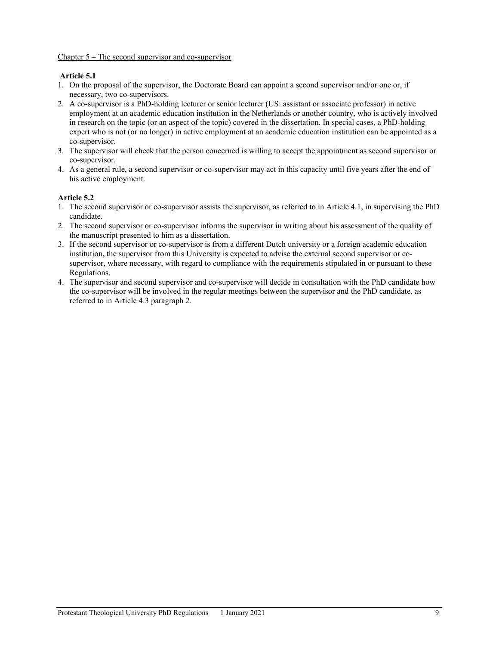# **Article 5.1**

- 1. On the proposal of the supervisor, the Doctorate Board can appoint a second supervisor and/or one or, if necessary, two co-supervisors.
- 2. A co-supervisor is a PhD-holding lecturer or senior lecturer (US: assistant or associate professor) in active employment at an academic education institution in the Netherlands or another country, who is actively involved in research on the topic (or an aspect of the topic) covered in the dissertation. In special cases, a PhD-holding expert who is not (or no longer) in active employment at an academic education institution can be appointed as a co-supervisor.
- 3. The supervisor will check that the person concerned is willing to accept the appointment as second supervisor or co-supervisor.
- 4. As a general rule, a second supervisor or co-supervisor may act in this capacity until five years after the end of his active employment.

## **Article 5.2**

- 1. The second supervisor or co-supervisor assists the supervisor, as referred to in Article 4.1, in supervising the PhD candidate.
- 2. The second supervisor or co-supervisor informs the supervisor in writing about his assessment of the quality of the manuscript presented to him as a dissertation.
- 3. If the second supervisor or co-supervisor is from a different Dutch university or a foreign academic education institution, the supervisor from this University is expected to advise the external second supervisor or cosupervisor, where necessary, with regard to compliance with the requirements stipulated in or pursuant to these Regulations.
- 4. The supervisor and second supervisor and co-supervisor will decide in consultation with the PhD candidate how the co-supervisor will be involved in the regular meetings between the supervisor and the PhD candidate, as referred to in Article 4.3 paragraph 2.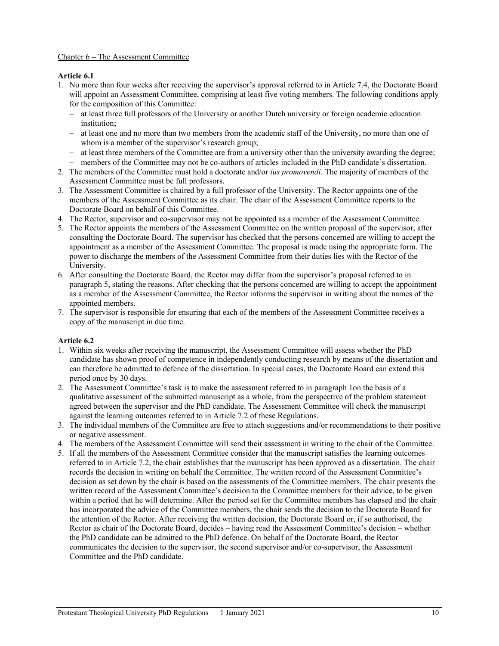## Chapter 6 – The Assessment Committee

#### **Article 6.1**

- 1. No more than four weeks after receiving the supervisor's approval referred to in Article 7.4, the Doctorate Board will appoint an Assessment Committee, comprising at least five voting members. The following conditions apply for the composition of this Committee:
	- − at least three full professors of the University or another Dutch university or foreign academic education institution;
	- − at least one and no more than two members from the academic staff of the University, no more than one of whom is a member of the supervisor's research group;
	- − at least three members of the Committee are from a university other than the university awarding the degree;
	- − members of the Committee may not be co-authors of articles included in the PhD candidate's dissertation.
- 2. The members of the Committee must hold a doctorate and/or *ius promovendi*. The majority of members of the Assessment Committee must be full professors.
- 3. The Assessment Committee is chaired by a full professor of the University. The Rector appoints one of the members of the Assessment Committee as its chair. The chair of the Assessment Committee reports to the Doctorate Board on behalf of this Committee.
- 4. The Rector, supervisor and co-supervisor may not be appointed as a member of the Assessment Committee.
- 5. The Rector appoints the members of the Assessment Committee on the written proposal of the supervisor, after consulting the Doctorate Board. The supervisor has checked that the persons concerned are willing to accept the appointment as a member of the Assessment Committee. The proposal is made using the appropriate form. The power to discharge the members of the Assessment Committee from their duties lies with the Rector of the University.
- 6. After consulting the Doctorate Board, the Rector may differ from the supervisor's proposal referred to in paragraph 5, stating the reasons. After checking that the persons concerned are willing to accept the appointment as a member of the Assessment Committee, the Rector informs the supervisor in writing about the names of the appointed members.
- 7. The supervisor is responsible for ensuring that each of the members of the Assessment Committee receives a copy of the manuscript in due time.

#### **Article 6.2**

- 1. Within six weeks after receiving the manuscript, the Assessment Committee will assess whether the PhD candidate has shown proof of competence in independently conducting research by means of the dissertation and can therefore be admitted to defence of the dissertation. In special cases, the Doctorate Board can extend this period once by 30 days.
- 2. The Assessment Committee's task is to make the assessment referred to in paragraph 1on the basis of a qualitative assessment of the submitted manuscript as a whole, from the perspective of the problem statement agreed between the supervisor and the PhD candidate. The Assessment Committee will check the manuscript against the learning outcomes referred to in Article 7.2 of these Regulations.
- 3. The individual members of the Committee are free to attach suggestions and/or recommendations to their positive or negative assessment.
- 4. The members of the Assessment Committee will send their assessment in writing to the chair of the Committee.
- 5. If all the members of the Assessment Committee consider that the manuscript satisfies the learning outcomes referred to in Article 7.2, the chair establishes that the manuscript has been approved as a dissertation. The chair records the decision in writing on behalf the Committee. The written record of the Assessment Committee's decision as set down by the chair is based on the assessments of the Committee members. The chair presents the written record of the Assessment Committee's decision to the Committee members for their advice, to be given within a period that he will determine. After the period set for the Committee members has elapsed and the chair has incorporated the advice of the Committee members, the chair sends the decision to the Doctorate Board for the attention of the Rector. After receiving the written decision, the Doctorate Board or, if so authorised, the Rector as chair of the Doctorate Board, decides – having read the Assessment Committee's decision – whether the PhD candidate can be admitted to the PhD defence. On behalf of the Doctorate Board, the Rector communicates the decision to the supervisor, the second supervisor and/or co-supervisor, the Assessment Committee and the PhD candidate.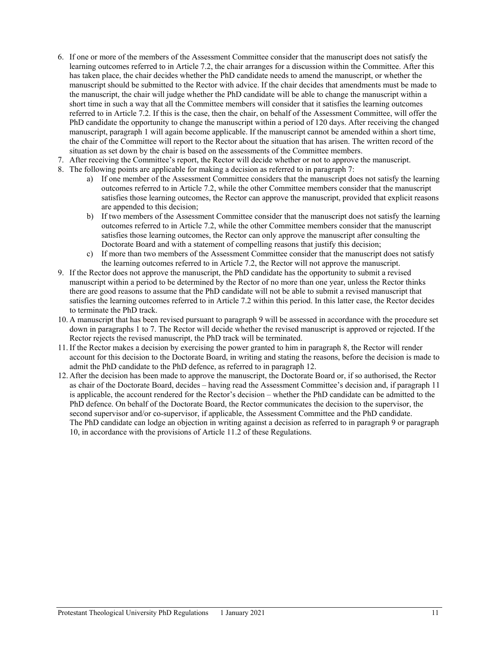- 6. If one or more of the members of the Assessment Committee consider that the manuscript does not satisfy the learning outcomes referred to in Article 7.2, the chair arranges for a discussion within the Committee. After this has taken place, the chair decides whether the PhD candidate needs to amend the manuscript, or whether the manuscript should be submitted to the Rector with advice. If the chair decides that amendments must be made to the manuscript, the chair will judge whether the PhD candidate will be able to change the manuscript within a short time in such a way that all the Committee members will consider that it satisfies the learning outcomes referred to in Article 7.2. If this is the case, then the chair, on behalf of the Assessment Committee, will offer the PhD candidate the opportunity to change the manuscript within a period of 120 days. After receiving the changed manuscript, paragraph 1 will again become applicable. If the manuscript cannot be amended within a short time, the chair of the Committee will report to the Rector about the situation that has arisen. The written record of the situation as set down by the chair is based on the assessments of the Committee members.
- 7. After receiving the Committee's report, the Rector will decide whether or not to approve the manuscript.
- 8. The following points are applicable for making a decision as referred to in paragraph 7:
	- a) If one member of the Assessment Committee considers that the manuscript does not satisfy the learning outcomes referred to in Article 7.2, while the other Committee members consider that the manuscript satisfies those learning outcomes, the Rector can approve the manuscript, provided that explicit reasons are appended to this decision;
	- b) If two members of the Assessment Committee consider that the manuscript does not satisfy the learning outcomes referred to in Article 7.2, while the other Committee members consider that the manuscript satisfies those learning outcomes, the Rector can only approve the manuscript after consulting the Doctorate Board and with a statement of compelling reasons that justify this decision;
	- c) If more than two members of the Assessment Committee consider that the manuscript does not satisfy the learning outcomes referred to in Article 7.2, the Rector will not approve the manuscript.
- 9. If the Rector does not approve the manuscript, the PhD candidate has the opportunity to submit a revised manuscript within a period to be determined by the Rector of no more than one year, unless the Rector thinks there are good reasons to assume that the PhD candidate will not be able to submit a revised manuscript that satisfies the learning outcomes referred to in Article 7.2 within this period. In this latter case, the Rector decides to terminate the PhD track.
- 10. A manuscript that has been revised pursuant to paragraph 9 will be assessed in accordance with the procedure set down in paragraphs 1 to 7. The Rector will decide whether the revised manuscript is approved or rejected. If the Rector rejects the revised manuscript, the PhD track will be terminated.
- 11. If the Rector makes a decision by exercising the power granted to him in paragraph 8, the Rector will render account for this decision to the Doctorate Board, in writing and stating the reasons, before the decision is made to admit the PhD candidate to the PhD defence, as referred to in paragraph 12.
- 12. After the decision has been made to approve the manuscript, the Doctorate Board or, if so authorised, the Rector as chair of the Doctorate Board, decides – having read the Assessment Committee's decision and, if paragraph 11 is applicable, the account rendered for the Rector's decision – whether the PhD candidate can be admitted to the PhD defence. On behalf of the Doctorate Board, the Rector communicates the decision to the supervisor, the second supervisor and/or co-supervisor, if applicable, the Assessment Committee and the PhD candidate. The PhD candidate can lodge an objection in writing against a decision as referred to in paragraph 9 or paragraph 10, in accordance with the provisions of Article 11.2 of these Regulations.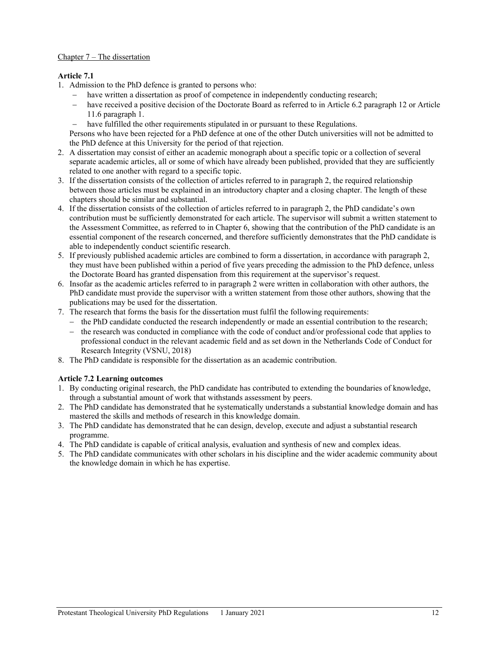# Chapter 7 – The dissertation

# **Article 7.1**

- 1. Admission to the PhD defence is granted to persons who:
	- have written a dissertation as proof of competence in independently conducting research;
	- − have received a positive decision of the Doctorate Board as referred to in Article 6.2 paragraph 12 or Article 11.6 paragraph 1.
	- have fulfilled the other requirements stipulated in or pursuant to these Regulations.

Persons who have been rejected for a PhD defence at one of the other Dutch universities will not be admitted to the PhD defence at this University for the period of that rejection.

- 2. A dissertation may consist of either an academic monograph about a specific topic or a collection of several separate academic articles, all or some of which have already been published, provided that they are sufficiently related to one another with regard to a specific topic.
- 3. If the dissertation consists of the collection of articles referred to in paragraph 2, the required relationship between those articles must be explained in an introductory chapter and a closing chapter. The length of these chapters should be similar and substantial.
- 4. If the dissertation consists of the collection of articles referred to in paragraph 2, the PhD candidate's own contribution must be sufficiently demonstrated for each article. The supervisor will submit a written statement to the Assessment Committee, as referred to in Chapter 6, showing that the contribution of the PhD candidate is an essential component of the research concerned, and therefore sufficiently demonstrates that the PhD candidate is able to independently conduct scientific research.
- 5. If previously published academic articles are combined to form a dissertation, in accordance with paragraph 2, they must have been published within a period of five years preceding the admission to the PhD defence, unless the Doctorate Board has granted dispensation from this requirement at the supervisor's request.
- 6. Insofar as the academic articles referred to in paragraph 2 were written in collaboration with other authors, the PhD candidate must provide the supervisor with a written statement from those other authors, showing that the publications may be used for the dissertation.
- 7. The research that forms the basis for the dissertation must fulfil the following requirements:
	- − the PhD candidate conducted the research independently or made an essential contribution to the research;
	- − the research was conducted in compliance with the code of conduct and/or professional code that applies to professional conduct in the relevant academic field and as set down in the Netherlands Code of Conduct for Research Integrity (VSNU, 2018)
- 8. The PhD candidate is responsible for the dissertation as an academic contribution.

## **Article 7.2 Learning outcomes**

- 1. By conducting original research, the PhD candidate has contributed to extending the boundaries of knowledge, through a substantial amount of work that withstands assessment by peers.
- 2. The PhD candidate has demonstrated that he systematically understands a substantial knowledge domain and has mastered the skills and methods of research in this knowledge domain.
- 3. The PhD candidate has demonstrated that he can design, develop, execute and adjust a substantial research programme.
- 4. The PhD candidate is capable of critical analysis, evaluation and synthesis of new and complex ideas.
- 5. The PhD candidate communicates with other scholars in his discipline and the wider academic community about the knowledge domain in which he has expertise.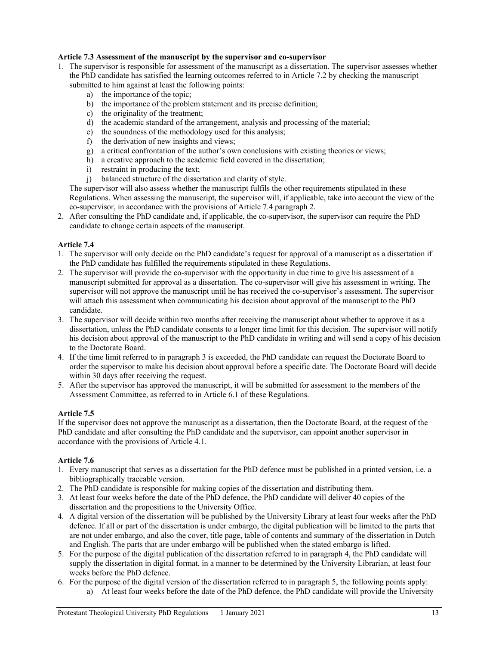## **Article 7.3 Assessment of the manuscript by the supervisor and co-supervisor**

- 1. The supervisor is responsible for assessment of the manuscript as a dissertation. The supervisor assesses whether the PhD candidate has satisfied the learning outcomes referred to in Article 7.2 by checking the manuscript submitted to him against at least the following points:
	- a) the importance of the topic;
	- b) the importance of the problem statement and its precise definition;
	- c) the originality of the treatment;
	- d) the academic standard of the arrangement, analysis and processing of the material;
	- e) the soundness of the methodology used for this analysis;
	- f) the derivation of new insights and views;
	- g) a critical confrontation of the author's own conclusions with existing theories or views;
	- h) a creative approach to the academic field covered in the dissertation;
	- i) restraint in producing the text;
	- j) balanced structure of the dissertation and clarity of style.

The supervisor will also assess whether the manuscript fulfils the other requirements stipulated in these Regulations. When assessing the manuscript, the supervisor will, if applicable, take into account the view of the co-supervisor, in accordance with the provisions of Article 7.4 paragraph 2.

2. After consulting the PhD candidate and, if applicable, the co-supervisor, the supervisor can require the PhD candidate to change certain aspects of the manuscript.

#### **Article 7.4**

- 1. The supervisor will only decide on the PhD candidate's request for approval of a manuscript as a dissertation if the PhD candidate has fulfilled the requirements stipulated in these Regulations.
- 2. The supervisor will provide the co-supervisor with the opportunity in due time to give his assessment of a manuscript submitted for approval as a dissertation. The co-supervisor will give his assessment in writing. The supervisor will not approve the manuscript until he has received the co-supervisor's assessment. The supervisor will attach this assessment when communicating his decision about approval of the manuscript to the PhD candidate.
- 3. The supervisor will decide within two months after receiving the manuscript about whether to approve it as a dissertation, unless the PhD candidate consents to a longer time limit for this decision. The supervisor will notify his decision about approval of the manuscript to the PhD candidate in writing and will send a copy of his decision to the Doctorate Board.
- 4. If the time limit referred to in paragraph 3 is exceeded, the PhD candidate can request the Doctorate Board to order the supervisor to make his decision about approval before a specific date. The Doctorate Board will decide within 30 days after receiving the request.
- 5. After the supervisor has approved the manuscript, it will be submitted for assessment to the members of the Assessment Committee, as referred to in Article 6.1 of these Regulations.

## **Article 7.5**

If the supervisor does not approve the manuscript as a dissertation, then the Doctorate Board, at the request of the PhD candidate and after consulting the PhD candidate and the supervisor, can appoint another supervisor in accordance with the provisions of Article 4.1.

## **Article 7.6**

- 1. Every manuscript that serves as a dissertation for the PhD defence must be published in a printed version, i.e. a bibliographically traceable version.
- 2. The PhD candidate is responsible for making copies of the dissertation and distributing them.
- 3. At least four weeks before the date of the PhD defence, the PhD candidate will deliver 40 copies of the dissertation and the propositions to the University Office.
- 4. A digital version of the dissertation will be published by the University Library at least four weeks after the PhD defence. If all or part of the dissertation is under embargo, the digital publication will be limited to the parts that are not under embargo, and also the cover, title page, table of contents and summary of the dissertation in Dutch and English. The parts that are under embargo will be published when the stated embargo is lifted.
- 5. For the purpose of the digital publication of the dissertation referred to in paragraph 4, the PhD candidate will supply the dissertation in digital format, in a manner to be determined by the University Librarian, at least four weeks before the PhD defence.
- 6. For the purpose of the digital version of the dissertation referred to in paragraph 5, the following points apply:
	- a) At least four weeks before the date of the PhD defence, the PhD candidate will provide the University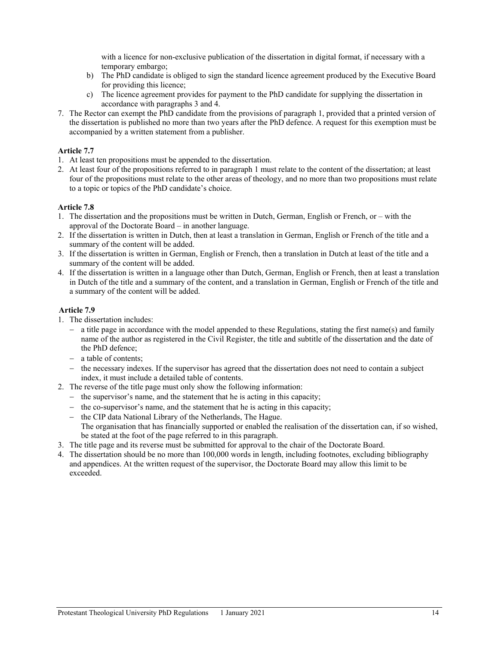with a licence for non-exclusive publication of the dissertation in digital format, if necessary with a temporary embargo;

- b) The PhD candidate is obliged to sign the standard licence agreement produced by the Executive Board for providing this licence;
- c) The licence agreement provides for payment to the PhD candidate for supplying the dissertation in accordance with paragraphs 3 and 4.
- 7. The Rector can exempt the PhD candidate from the provisions of paragraph 1, provided that a printed version of the dissertation is published no more than two years after the PhD defence. A request for this exemption must be accompanied by a written statement from a publisher.

## **Article 7.7**

- 1. At least ten propositions must be appended to the dissertation.
- 2. At least four of the propositions referred to in paragraph 1 must relate to the content of the dissertation; at least four of the propositions must relate to the other areas of theology, and no more than two propositions must relate to a topic or topics of the PhD candidate's choice.

## **Article 7.8**

- 1. The dissertation and the propositions must be written in Dutch, German, English or French, or with the approval of the Doctorate Board – in another language.
- 2. If the dissertation is written in Dutch, then at least a translation in German, English or French of the title and a summary of the content will be added.
- 3. If the dissertation is written in German, English or French, then a translation in Dutch at least of the title and a summary of the content will be added.
- 4. If the dissertation is written in a language other than Dutch, German, English or French, then at least a translation in Dutch of the title and a summary of the content, and a translation in German, English or French of the title and a summary of the content will be added.

#### **Article 7.9**

- 1. The dissertation includes:
	- − a title page in accordance with the model appended to these Regulations, stating the first name(s) and family name of the author as registered in the Civil Register, the title and subtitle of the dissertation and the date of the PhD defence;
	- − a table of contents;
	- − the necessary indexes. If the supervisor has agreed that the dissertation does not need to contain a subject index, it must include a detailed table of contents.
- 2. The reverse of the title page must only show the following information:
	- − the supervisor's name, and the statement that he is acting in this capacity;
	- − the co-supervisor's name, and the statement that he is acting in this capacity;
	- − the CIP data National Library of the Netherlands, The Hague. The organisation that has financially supported or enabled the realisation of the dissertation can, if so wished, be stated at the foot of the page referred to in this paragraph.
- 3. The title page and its reverse must be submitted for approval to the chair of the Doctorate Board.
- 4. The dissertation should be no more than 100,000 words in length, including footnotes, excluding bibliography and appendices. At the written request of the supervisor, the Doctorate Board may allow this limit to be exceeded.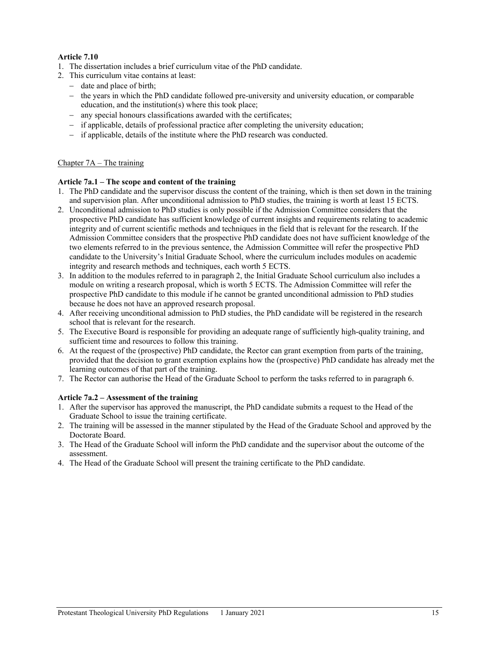# **Article 7.10**

- 1. The dissertation includes a brief curriculum vitae of the PhD candidate.
- 2. This curriculum vitae contains at least:
	- − date and place of birth;
	- − the years in which the PhD candidate followed pre-university and university education, or comparable education, and the institution(s) where this took place;
	- − any special honours classifications awarded with the certificates;
	- − if applicable, details of professional practice after completing the university education;
	- − if applicable, details of the institute where the PhD research was conducted.

# Chapter 7A – The training

## **Article 7a.1 – The scope and content of the training**

- 1. The PhD candidate and the supervisor discuss the content of the training, which is then set down in the training and supervision plan. After unconditional admission to PhD studies, the training is worth at least 15 ECTS.
- 2. Unconditional admission to PhD studies is only possible if the Admission Committee considers that the prospective PhD candidate has sufficient knowledge of current insights and requirements relating to academic integrity and of current scientific methods and techniques in the field that is relevant for the research. If the Admission Committee considers that the prospective PhD candidate does not have sufficient knowledge of the two elements referred to in the previous sentence, the Admission Committee will refer the prospective PhD candidate to the University's Initial Graduate School, where the curriculum includes modules on academic integrity and research methods and techniques, each worth 5 ECTS.
- 3. In addition to the modules referred to in paragraph 2, the Initial Graduate School curriculum also includes a module on writing a research proposal, which is worth 5 ECTS. The Admission Committee will refer the prospective PhD candidate to this module if he cannot be granted unconditional admission to PhD studies because he does not have an approved research proposal.
- 4. After receiving unconditional admission to PhD studies, the PhD candidate will be registered in the research school that is relevant for the research.
- 5. The Executive Board is responsible for providing an adequate range of sufficiently high-quality training, and sufficient time and resources to follow this training.
- 6. At the request of the (prospective) PhD candidate, the Rector can grant exemption from parts of the training, provided that the decision to grant exemption explains how the (prospective) PhD candidate has already met the learning outcomes of that part of the training.
- 7. The Rector can authorise the Head of the Graduate School to perform the tasks referred to in paragraph 6.

## **Article 7a.2 – Assessment of the training**

- 1. After the supervisor has approved the manuscript, the PhD candidate submits a request to the Head of the Graduate School to issue the training certificate.
- 2. The training will be assessed in the manner stipulated by the Head of the Graduate School and approved by the Doctorate Board.
- 3. The Head of the Graduate School will inform the PhD candidate and the supervisor about the outcome of the assessment.
- 4. The Head of the Graduate School will present the training certificate to the PhD candidate.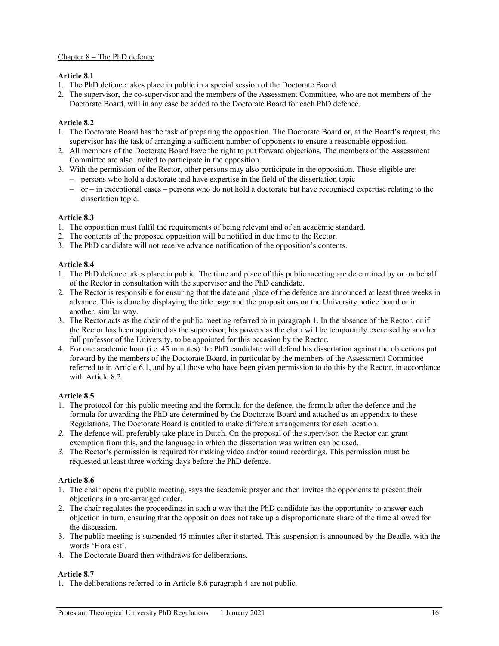# Chapter 8 – The PhD defence

# **Article 8.1**

- 1. The PhD defence takes place in public in a special session of the Doctorate Board.
- 2. The supervisor, the co-supervisor and the members of the Assessment Committee, who are not members of the Doctorate Board, will in any case be added to the Doctorate Board for each PhD defence.

# **Article 8.2**

- 1. The Doctorate Board has the task of preparing the opposition. The Doctorate Board or, at the Board's request, the supervisor has the task of arranging a sufficient number of opponents to ensure a reasonable opposition.
- 2. All members of the Doctorate Board have the right to put forward objections. The members of the Assessment Committee are also invited to participate in the opposition.
- 3. With the permission of the Rector, other persons may also participate in the opposition. Those eligible are:
	- − persons who hold a doctorate and have expertise in the field of the dissertation topic
	- − or in exceptional cases persons who do not hold a doctorate but have recognised expertise relating to the dissertation topic.

# **Article 8.3**

- 1. The opposition must fulfil the requirements of being relevant and of an academic standard.
- 2. The contents of the proposed opposition will be notified in due time to the Rector.
- 3. The PhD candidate will not receive advance notification of the opposition's contents.

# **Article 8.4**

- 1. The PhD defence takes place in public. The time and place of this public meeting are determined by or on behalf of the Rector in consultation with the supervisor and the PhD candidate.
- 2. The Rector is responsible for ensuring that the date and place of the defence are announced at least three weeks in advance. This is done by displaying the title page and the propositions on the University notice board or in another, similar way.
- 3. The Rector acts as the chair of the public meeting referred to in paragraph 1. In the absence of the Rector, or if the Rector has been appointed as the supervisor, his powers as the chair will be temporarily exercised by another full professor of the University, to be appointed for this occasion by the Rector.
- 4. For one academic hour (i.e. 45 minutes) the PhD candidate will defend his dissertation against the objections put forward by the members of the Doctorate Board, in particular by the members of the Assessment Committee referred to in Article 6.1, and by all those who have been given permission to do this by the Rector, in accordance with Article 8.2.

## **Article 8.5**

- 1. The protocol for this public meeting and the formula for the defence, the formula after the defence and the formula for awarding the PhD are determined by the Doctorate Board and attached as an appendix to these Regulations. The Doctorate Board is entitled to make different arrangements for each location.
- *2.* The defence will preferably take place in Dutch. On the proposal of the supervisor, the Rector can grant exemption from this, and the language in which the dissertation was written can be used.
- *3.* The Rector's permission is required for making video and/or sound recordings. This permission must be requested at least three working days before the PhD defence.

## **Article 8.6**

- 1. The chair opens the public meeting, says the academic prayer and then invites the opponents to present their objections in a pre-arranged order.
- 2. The chair regulates the proceedings in such a way that the PhD candidate has the opportunity to answer each objection in turn, ensuring that the opposition does not take up a disproportionate share of the time allowed for the discussion.
- 3. The public meeting is suspended 45 minutes after it started. This suspension is announced by the Beadle, with the words 'Hora est'.
- 4. The Doctorate Board then withdraws for deliberations.

## **Article 8.7**

1. The deliberations referred to in Article 8.6 paragraph 4 are not public.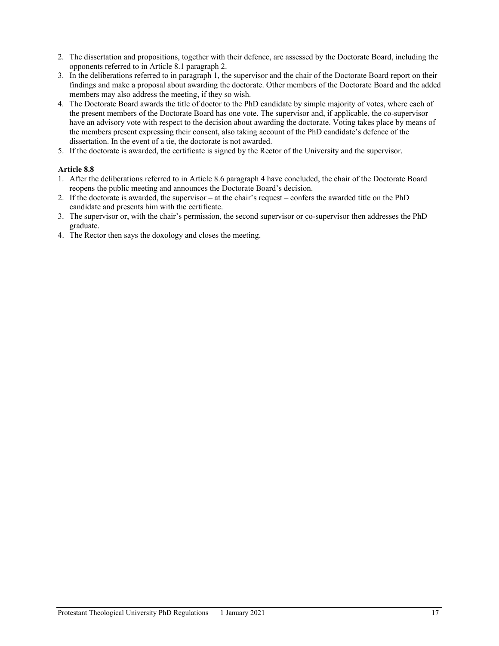- 2. The dissertation and propositions, together with their defence, are assessed by the Doctorate Board, including the opponents referred to in Article 8.1 paragraph 2.
- 3. In the deliberations referred to in paragraph 1, the supervisor and the chair of the Doctorate Board report on their findings and make a proposal about awarding the doctorate. Other members of the Doctorate Board and the added members may also address the meeting, if they so wish.
- 4. The Doctorate Board awards the title of doctor to the PhD candidate by simple majority of votes, where each of the present members of the Doctorate Board has one vote. The supervisor and, if applicable, the co-supervisor have an advisory vote with respect to the decision about awarding the doctorate. Voting takes place by means of the members present expressing their consent, also taking account of the PhD candidate's defence of the dissertation. In the event of a tie, the doctorate is not awarded.
- 5. If the doctorate is awarded, the certificate is signed by the Rector of the University and the supervisor.

# **Article 8.8**

- 1. After the deliberations referred to in Article 8.6 paragraph 4 have concluded, the chair of the Doctorate Board reopens the public meeting and announces the Doctorate Board's decision.
- 2. If the doctorate is awarded, the supervisor at the chair's request confers the awarded title on the PhD candidate and presents him with the certificate.
- 3. The supervisor or, with the chair's permission, the second supervisor or co-supervisor then addresses the PhD graduate.
- 4. The Rector then says the doxology and closes the meeting.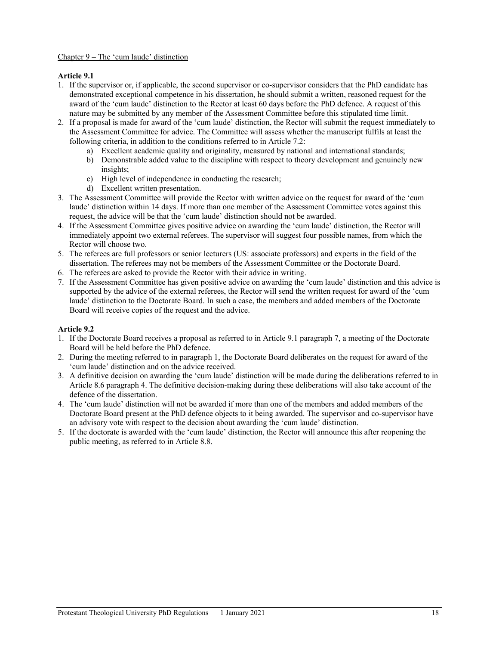## Chapter 9 – The 'cum laude' distinction

# **Article 9.1**

- 1. If the supervisor or, if applicable, the second supervisor or co-supervisor considers that the PhD candidate has demonstrated exceptional competence in his dissertation, he should submit a written, reasoned request for the award of the 'cum laude' distinction to the Rector at least 60 days before the PhD defence. A request of this nature may be submitted by any member of the Assessment Committee before this stipulated time limit.
- 2. If a proposal is made for award of the 'cum laude' distinction, the Rector will submit the request immediately to the Assessment Committee for advice. The Committee will assess whether the manuscript fulfils at least the following criteria, in addition to the conditions referred to in Article 7.2:
	- a) Excellent academic quality and originality, measured by national and international standards;
	- b) Demonstrable added value to the discipline with respect to theory development and genuinely new insights;
	- c) High level of independence in conducting the research;
	- d) Excellent written presentation.
- 3. The Assessment Committee will provide the Rector with written advice on the request for award of the 'cum laude' distinction within 14 days. If more than one member of the Assessment Committee votes against this request, the advice will be that the 'cum laude' distinction should not be awarded.
- 4. If the Assessment Committee gives positive advice on awarding the 'cum laude' distinction, the Rector will immediately appoint two external referees. The supervisor will suggest four possible names, from which the Rector will choose two.
- 5. The referees are full professors or senior lecturers (US: associate professors) and experts in the field of the dissertation. The referees may not be members of the Assessment Committee or the Doctorate Board.
- 6. The referees are asked to provide the Rector with their advice in writing.
- 7. If the Assessment Committee has given positive advice on awarding the 'cum laude' distinction and this advice is supported by the advice of the external referees, the Rector will send the written request for award of the 'cum laude' distinction to the Doctorate Board. In such a case, the members and added members of the Doctorate Board will receive copies of the request and the advice.

## **Article 9.2**

- 1. If the Doctorate Board receives a proposal as referred to in Article 9.1 paragraph 7, a meeting of the Doctorate Board will be held before the PhD defence.
- 2. During the meeting referred to in paragraph 1, the Doctorate Board deliberates on the request for award of the 'cum laude' distinction and on the advice received.
- 3. A definitive decision on awarding the 'cum laude' distinction will be made during the deliberations referred to in Article 8.6 paragraph 4. The definitive decision-making during these deliberations will also take account of the defence of the dissertation.
- 4. The 'cum laude' distinction will not be awarded if more than one of the members and added members of the Doctorate Board present at the PhD defence objects to it being awarded. The supervisor and co-supervisor have an advisory vote with respect to the decision about awarding the 'cum laude' distinction.
- 5. If the doctorate is awarded with the 'cum laude' distinction, the Rector will announce this after reopening the public meeting, as referred to in Article 8.8.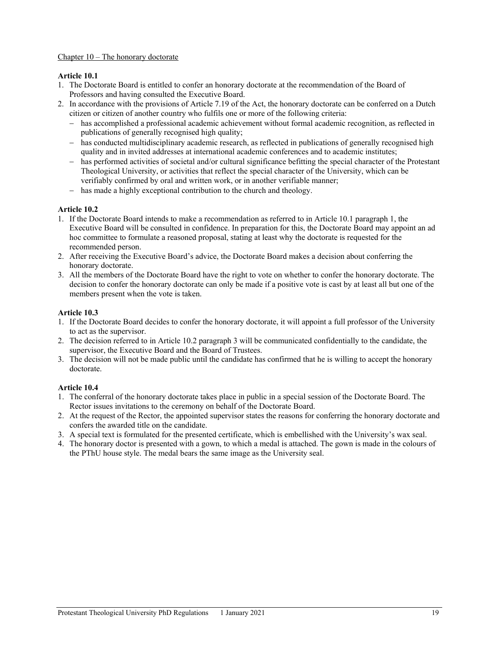# Chapter 10 – The honorary doctorate

# **Article 10.1**

- 1. The Doctorate Board is entitled to confer an honorary doctorate at the recommendation of the Board of Professors and having consulted the Executive Board.
- 2. In accordance with the provisions of Article 7.19 of the Act, the honorary doctorate can be conferred on a Dutch citizen or citizen of another country who fulfils one or more of the following criteria:
	- − has accomplished a professional academic achievement without formal academic recognition, as reflected in publications of generally recognised high quality;
	- − has conducted multidisciplinary academic research, as reflected in publications of generally recognised high quality and in invited addresses at international academic conferences and to academic institutes;
	- has performed activities of societal and/or cultural significance befitting the special character of the Protestant Theological University, or activities that reflect the special character of the University, which can be verifiably confirmed by oral and written work, or in another verifiable manner;
	- − has made a highly exceptional contribution to the church and theology.

# **Article 10.2**

- 1. If the Doctorate Board intends to make a recommendation as referred to in Article 10.1 paragraph 1, the Executive Board will be consulted in confidence. In preparation for this, the Doctorate Board may appoint an ad hoc committee to formulate a reasoned proposal, stating at least why the doctorate is requested for the recommended person.
- 2. After receiving the Executive Board's advice, the Doctorate Board makes a decision about conferring the honorary doctorate.
- 3. All the members of the Doctorate Board have the right to vote on whether to confer the honorary doctorate. The decision to confer the honorary doctorate can only be made if a positive vote is cast by at least all but one of the members present when the vote is taken.

## **Article 10.3**

- 1. If the Doctorate Board decides to confer the honorary doctorate, it will appoint a full professor of the University to act as the supervisor.
- 2. The decision referred to in Article 10.2 paragraph 3 will be communicated confidentially to the candidate, the supervisor, the Executive Board and the Board of Trustees.
- 3. The decision will not be made public until the candidate has confirmed that he is willing to accept the honorary doctorate.

## **Article 10.4**

- 1. The conferral of the honorary doctorate takes place in public in a special session of the Doctorate Board. The Rector issues invitations to the ceremony on behalf of the Doctorate Board.
- 2. At the request of the Rector, the appointed supervisor states the reasons for conferring the honorary doctorate and confers the awarded title on the candidate.
- 3. A special text is formulated for the presented certificate, which is embellished with the University's wax seal.
- 4. The honorary doctor is presented with a gown, to which a medal is attached. The gown is made in the colours of the PThU house style. The medal bears the same image as the University seal.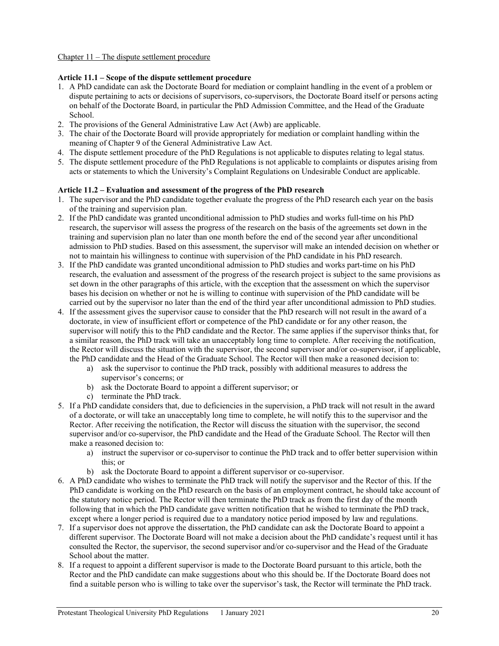#### **Article 11.1 – Scope of the dispute settlement procedure**

- 1. A PhD candidate can ask the Doctorate Board for mediation or complaint handling in the event of a problem or dispute pertaining to acts or decisions of supervisors, co-supervisors, the Doctorate Board itself or persons acting on behalf of the Doctorate Board, in particular the PhD Admission Committee, and the Head of the Graduate School.
- 2. The provisions of the General Administrative Law Act (Awb) are applicable.
- 3. The chair of the Doctorate Board will provide appropriately for mediation or complaint handling within the meaning of Chapter 9 of the General Administrative Law Act.
- 4. The dispute settlement procedure of the PhD Regulations is not applicable to disputes relating to legal status.
- 5. The dispute settlement procedure of the PhD Regulations is not applicable to complaints or disputes arising from acts or statements to which the University's Complaint Regulations on Undesirable Conduct are applicable.

#### **Article 11.2 – Evaluation and assessment of the progress of the PhD research**

- 1. The supervisor and the PhD candidate together evaluate the progress of the PhD research each year on the basis of the training and supervision plan.
- 2. If the PhD candidate was granted unconditional admission to PhD studies and works full-time on his PhD research, the supervisor will assess the progress of the research on the basis of the agreements set down in the training and supervision plan no later than one month before the end of the second year after unconditional admission to PhD studies. Based on this assessment, the supervisor will make an intended decision on whether or not to maintain his willingness to continue with supervision of the PhD candidate in his PhD research.
- 3. If the PhD candidate was granted unconditional admission to PhD studies and works part-time on his PhD research, the evaluation and assessment of the progress of the research project is subject to the same provisions as set down in the other paragraphs of this article, with the exception that the assessment on which the supervisor bases his decision on whether or not he is willing to continue with supervision of the PhD candidate will be carried out by the supervisor no later than the end of the third year after unconditional admission to PhD studies.
- 4. If the assessment gives the supervisor cause to consider that the PhD research will not result in the award of a doctorate, in view of insufficient effort or competence of the PhD candidate or for any other reason, the supervisor will notify this to the PhD candidate and the Rector. The same applies if the supervisor thinks that, for a similar reason, the PhD track will take an unacceptably long time to complete. After receiving the notification, the Rector will discuss the situation with the supervisor, the second supervisor and/or co-supervisor, if applicable, the PhD candidate and the Head of the Graduate School. The Rector will then make a reasoned decision to:
	- a) ask the supervisor to continue the PhD track, possibly with additional measures to address the supervisor's concerns; or
	- b) ask the Doctorate Board to appoint a different supervisor; or
	- c) terminate the PhD track.
- 5. If a PhD candidate considers that, due to deficiencies in the supervision, a PhD track will not result in the award of a doctorate, or will take an unacceptably long time to complete, he will notify this to the supervisor and the Rector. After receiving the notification, the Rector will discuss the situation with the supervisor, the second supervisor and/or co-supervisor, the PhD candidate and the Head of the Graduate School. The Rector will then make a reasoned decision to:
	- a) instruct the supervisor or co-supervisor to continue the PhD track and to offer better supervision within this; or
	- b) ask the Doctorate Board to appoint a different supervisor or co-supervisor.
- 6. A PhD candidate who wishes to terminate the PhD track will notify the supervisor and the Rector of this. If the PhD candidate is working on the PhD research on the basis of an employment contract, he should take account of the statutory notice period. The Rector will then terminate the PhD track as from the first day of the month following that in which the PhD candidate gave written notification that he wished to terminate the PhD track, except where a longer period is required due to a mandatory notice period imposed by law and regulations.
- 7. If a supervisor does not approve the dissertation, the PhD candidate can ask the Doctorate Board to appoint a different supervisor. The Doctorate Board will not make a decision about the PhD candidate's request until it has consulted the Rector, the supervisor, the second supervisor and/or co-supervisor and the Head of the Graduate School about the matter.
- 8. If a request to appoint a different supervisor is made to the Doctorate Board pursuant to this article, both the Rector and the PhD candidate can make suggestions about who this should be. If the Doctorate Board does not find a suitable person who is willing to take over the supervisor's task, the Rector will terminate the PhD track.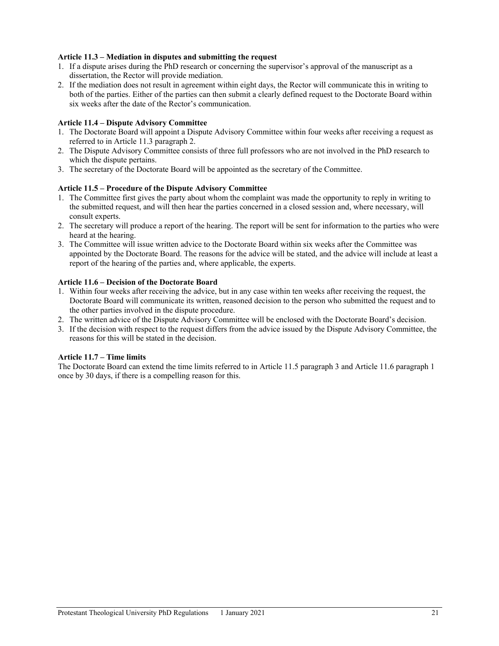## **Article 11.3 – Mediation in disputes and submitting the request**

- 1. If a dispute arises during the PhD research or concerning the supervisor's approval of the manuscript as a dissertation, the Rector will provide mediation.
- 2. If the mediation does not result in agreement within eight days, the Rector will communicate this in writing to both of the parties. Either of the parties can then submit a clearly defined request to the Doctorate Board within six weeks after the date of the Rector's communication.

# **Article 11.4 – Dispute Advisory Committee**

- 1. The Doctorate Board will appoint a Dispute Advisory Committee within four weeks after receiving a request as referred to in Article 11.3 paragraph 2.
- 2. The Dispute Advisory Committee consists of three full professors who are not involved in the PhD research to which the dispute pertains.
- 3. The secretary of the Doctorate Board will be appointed as the secretary of the Committee.

## **Article 11.5 – Procedure of the Dispute Advisory Committee**

- 1. The Committee first gives the party about whom the complaint was made the opportunity to reply in writing to the submitted request, and will then hear the parties concerned in a closed session and, where necessary, will consult experts.
- 2. The secretary will produce a report of the hearing. The report will be sent for information to the parties who were heard at the hearing.
- 3. The Committee will issue written advice to the Doctorate Board within six weeks after the Committee was appointed by the Doctorate Board. The reasons for the advice will be stated, and the advice will include at least a report of the hearing of the parties and, where applicable, the experts.

# **Article 11.6 – Decision of the Doctorate Board**

- 1. Within four weeks after receiving the advice, but in any case within ten weeks after receiving the request, the Doctorate Board will communicate its written, reasoned decision to the person who submitted the request and to the other parties involved in the dispute procedure.
- 2. The written advice of the Dispute Advisory Committee will be enclosed with the Doctorate Board's decision.
- 3. If the decision with respect to the request differs from the advice issued by the Dispute Advisory Committee, the reasons for this will be stated in the decision.

## **Article 11.7 – Time limits**

The Doctorate Board can extend the time limits referred to in Article 11.5 paragraph 3 and Article 11.6 paragraph 1 once by 30 days, if there is a compelling reason for this.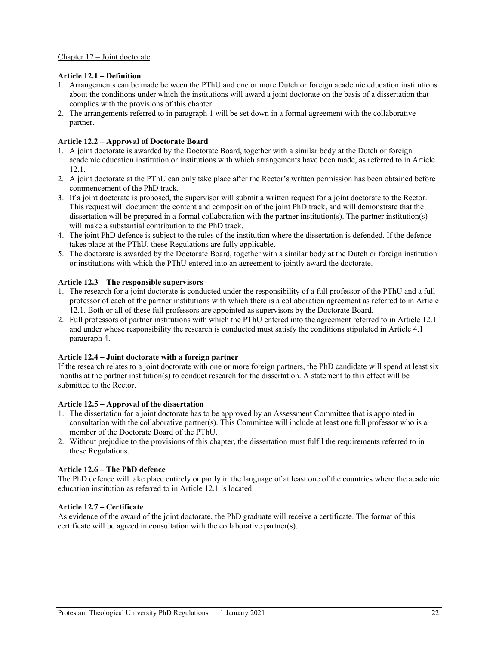## **Article 12.1 – Definition**

- 1. Arrangements can be made between the PThU and one or more Dutch or foreign academic education institutions about the conditions under which the institutions will award a joint doctorate on the basis of a dissertation that complies with the provisions of this chapter.
- 2. The arrangements referred to in paragraph 1 will be set down in a formal agreement with the collaborative partner.

## **Article 12.2 – Approval of Doctorate Board**

- 1. A joint doctorate is awarded by the Doctorate Board, together with a similar body at the Dutch or foreign academic education institution or institutions with which arrangements have been made, as referred to in Article 12.1.
- 2. A joint doctorate at the PThU can only take place after the Rector's written permission has been obtained before commencement of the PhD track.
- 3. If a joint doctorate is proposed, the supervisor will submit a written request for a joint doctorate to the Rector. This request will document the content and composition of the joint PhD track, and will demonstrate that the dissertation will be prepared in a formal collaboration with the partner institution(s). The partner institution(s) will make a substantial contribution to the PhD track.
- 4. The joint PhD defence is subject to the rules of the institution where the dissertation is defended. If the defence takes place at the PThU, these Regulations are fully applicable.
- 5. The doctorate is awarded by the Doctorate Board, together with a similar body at the Dutch or foreign institution or institutions with which the PThU entered into an agreement to jointly award the doctorate.

#### **Article 12.3 – The responsible supervisors**

- 1. The research for a joint doctorate is conducted under the responsibility of a full professor of the PThU and a full professor of each of the partner institutions with which there is a collaboration agreement as referred to in Article 12.1. Both or all of these full professors are appointed as supervisors by the Doctorate Board.
- 2. Full professors of partner institutions with which the PThU entered into the agreement referred to in Article 12.1 and under whose responsibility the research is conducted must satisfy the conditions stipulated in Article 4.1 paragraph 4.

## **Article 12.4 – Joint doctorate with a foreign partner**

If the research relates to a joint doctorate with one or more foreign partners, the PhD candidate will spend at least six months at the partner institution(s) to conduct research for the dissertation. A statement to this effect will be submitted to the Rector.

# **Article 12.5 – Approval of the dissertation**

- 1. The dissertation for a joint doctorate has to be approved by an Assessment Committee that is appointed in consultation with the collaborative partner(s). This Committee will include at least one full professor who is a member of the Doctorate Board of the PThU.
- 2. Without prejudice to the provisions of this chapter, the dissertation must fulfil the requirements referred to in these Regulations.

## **Article 12.6 – The PhD defence**

The PhD defence will take place entirely or partly in the language of at least one of the countries where the academic education institution as referred to in Article 12.1 is located.

# **Article 12.7 – Certificate**

As evidence of the award of the joint doctorate, the PhD graduate will receive a certificate. The format of this certificate will be agreed in consultation with the collaborative partner(s).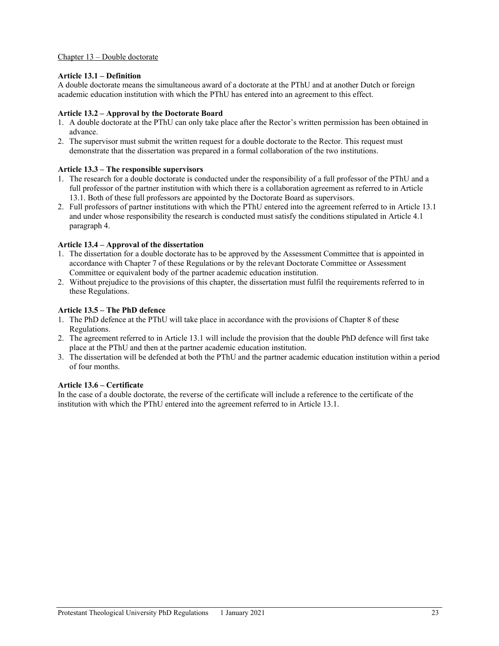#### Chapter 13 – Double doctorate

#### **Article 13.1 – Definition**

A double doctorate means the simultaneous award of a doctorate at the PThU and at another Dutch or foreign academic education institution with which the PThU has entered into an agreement to this effect.

#### **Article 13.2 – Approval by the Doctorate Board**

- 1. A double doctorate at the PThU can only take place after the Rector's written permission has been obtained in advance.
- 2. The supervisor must submit the written request for a double doctorate to the Rector. This request must demonstrate that the dissertation was prepared in a formal collaboration of the two institutions.

#### **Article 13.3 – The responsible supervisors**

- 1. The research for a double doctorate is conducted under the responsibility of a full professor of the PThU and a full professor of the partner institution with which there is a collaboration agreement as referred to in Article 13.1. Both of these full professors are appointed by the Doctorate Board as supervisors.
- 2. Full professors of partner institutions with which the PThU entered into the agreement referred to in Article 13.1 and under whose responsibility the research is conducted must satisfy the conditions stipulated in Article 4.1 paragraph 4.

#### **Article 13.4 – Approval of the dissertation**

- 1. The dissertation for a double doctorate has to be approved by the Assessment Committee that is appointed in accordance with Chapter 7 of these Regulations or by the relevant Doctorate Committee or Assessment Committee or equivalent body of the partner academic education institution.
- 2. Without prejudice to the provisions of this chapter, the dissertation must fulfil the requirements referred to in these Regulations.

#### **Article 13.5 – The PhD defence**

- 1. The PhD defence at the PThU will take place in accordance with the provisions of Chapter 8 of these Regulations.
- 2. The agreement referred to in Article 13.1 will include the provision that the double PhD defence will first take place at the PThU and then at the partner academic education institution.
- 3. The dissertation will be defended at both the PThU and the partner academic education institution within a period of four months.

#### **Article 13.6 – Certificate**

In the case of a double doctorate, the reverse of the certificate will include a reference to the certificate of the institution with which the PThU entered into the agreement referred to in Article 13.1.